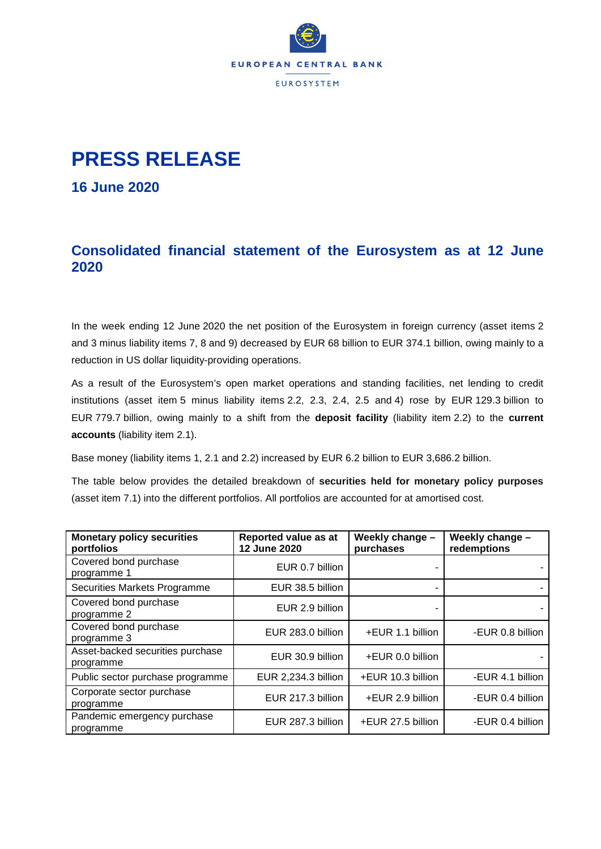

## **PRESS RELEASE**

**16 June 2020**

## **Consolidated financial statement of the Eurosystem as at 12 June 2020**

In the week ending 12 June 2020 the net position of the Eurosystem in foreign currency (asset items 2 and 3 minus liability items 7, 8 and 9) decreased by EUR 68 billion to EUR 374.1 billion, owing mainly to a reduction in US dollar liquidity-providing operations.

As a result of the Eurosystem's open market operations and standing facilities, net lending to credit institutions (asset item 5 minus liability items 2.2, 2.3, 2.4, 2.5 and 4) rose by EUR 129.3 billion to EUR 779.7 billion, owing mainly to a shift from the **deposit facility** (liability item 2.2) to the **current accounts** (liability item 2.1).

Base money (liability items 1, 2.1 and 2.2) increased by EUR 6.2 billion to EUR 3,686.2 billion.

The table below provides the detailed breakdown of **securities held for monetary policy purposes** (asset item 7.1) into the different portfolios. All portfolios are accounted for at amortised cost.

| <b>Monetary policy securities</b><br>portfolios | Reported value as at<br>12 June 2020 | Weekly change -<br>purchases | Weekly change -<br>redemptions |
|-------------------------------------------------|--------------------------------------|------------------------------|--------------------------------|
| Covered bond purchase<br>programme 1            | EUR 0.7 billion                      |                              |                                |
| Securities Markets Programme                    | EUR 38.5 billion                     |                              |                                |
| Covered bond purchase<br>programme 2            | EUR 2.9 billion                      |                              |                                |
| Covered bond purchase<br>programme 3            | EUR 283.0 billion                    | +EUR 1.1 billion             | -EUR 0.8 billion               |
| Asset-backed securities purchase<br>programme   | EUR 30.9 billion                     | +EUR 0.0 billion             |                                |
| Public sector purchase programme                | EUR 2,234.3 billion                  | +EUR 10.3 billion            | -EUR 4.1 billion               |
| Corporate sector purchase<br>programme          | EUR 217.3 billion                    | +EUR 2.9 billion             | -EUR 0.4 billion               |
| Pandemic emergency purchase<br>programme        | EUR 287.3 billion                    | +EUR 27.5 billion            | -EUR 0.4 billion               |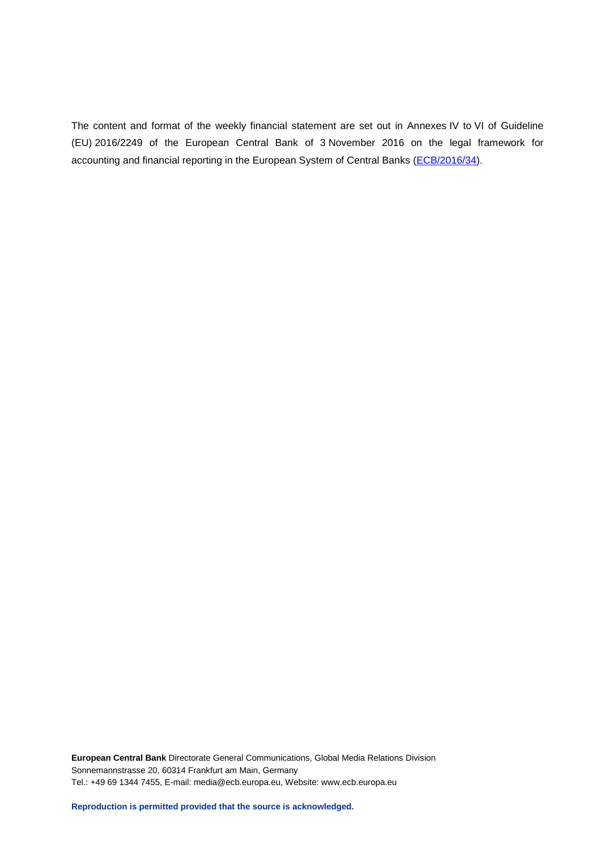The content and format of the weekly financial statement are set out in Annexes IV to VI of Guideline (EU) 2016/2249 of the European Central Bank of 3 November 2016 on the legal framework for accounting and financial reporting in the European System of Central Banks [\(ECB/2016/34\)](http://www.ecb.europa.eu/ecb/legal/1001/1012/html/index.en.html).

**European Central Bank** Directorate General Communications, Global Media Relations Division Sonnemannstrasse 20, 60314 Frankfurt am Main, Germany Tel.: +49 69 1344 7455, E-mail: media@ecb.europa.eu, Website: www.ecb.europa.eu